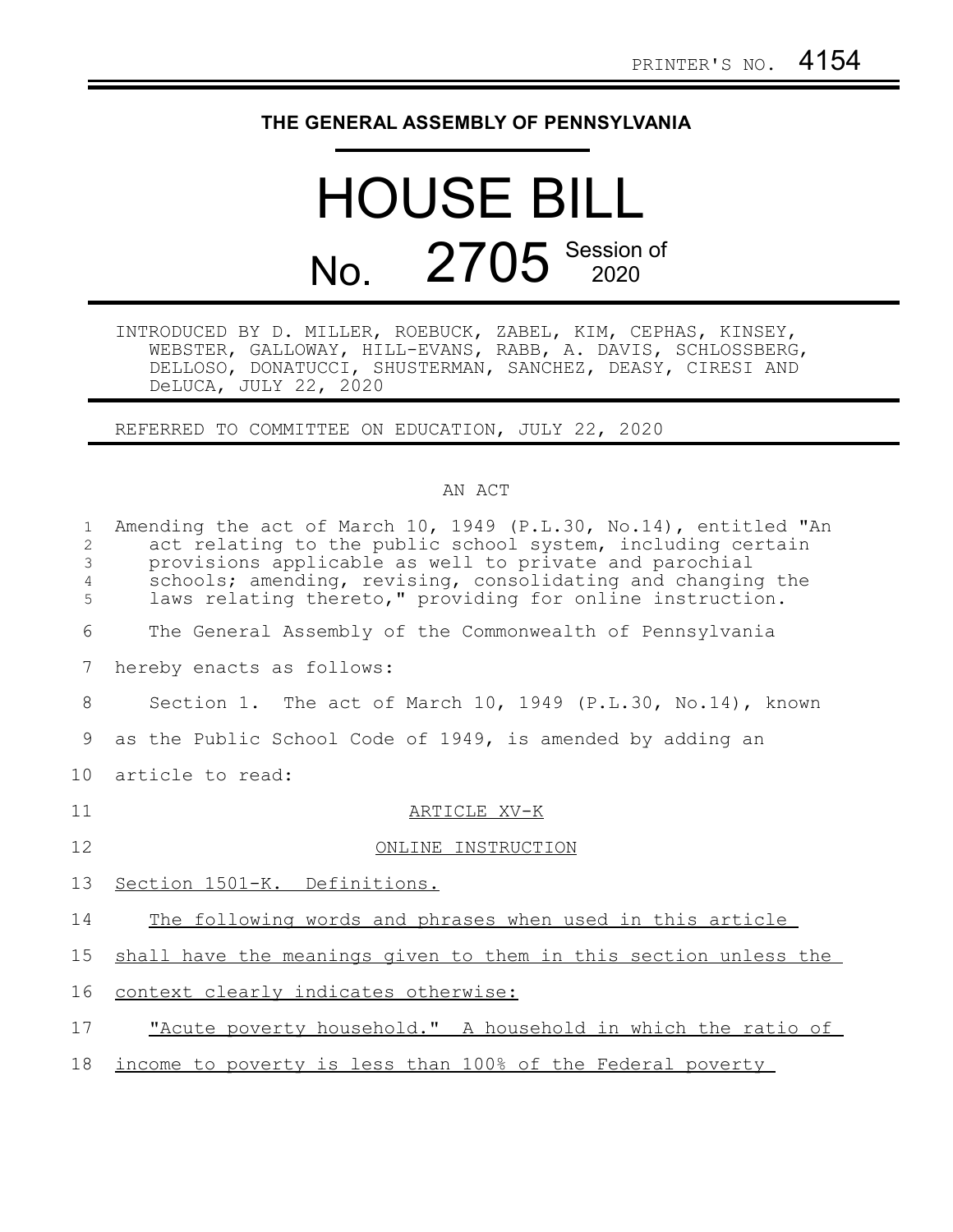## **THE GENERAL ASSEMBLY OF PENNSYLVANIA**

## HOUSE BILL No. 2705 Session of

INTRODUCED BY D. MILLER, ROEBUCK, ZABEL, KIM, CEPHAS, KINSEY, WEBSTER, GALLOWAY, HILL-EVANS, RABB, A. DAVIS, SCHLOSSBERG, DELLOSO, DONATUCCI, SHUSTERMAN, SANCHEZ, DEASY, CIRESI AND DeLUCA, JULY 22, 2020

REFERRED TO COMMITTEE ON EDUCATION, JULY 22, 2020

## AN ACT

| $\mathbf{1}$<br>2<br>3<br>$\overline{4}$<br>5 | Amending the act of March 10, 1949 (P.L.30, No.14), entitled "An<br>act relating to the public school system, including certain<br>provisions applicable as well to private and parochial<br>schools; amending, revising, consolidating and changing the<br>laws relating thereto," providing for online instruction. |
|-----------------------------------------------|-----------------------------------------------------------------------------------------------------------------------------------------------------------------------------------------------------------------------------------------------------------------------------------------------------------------------|
| 6                                             | The General Assembly of the Commonwealth of Pennsylvania                                                                                                                                                                                                                                                              |
| 7                                             | hereby enacts as follows:                                                                                                                                                                                                                                                                                             |
| 8                                             | Section 1. The act of March 10, 1949 (P.L.30, No.14), known                                                                                                                                                                                                                                                           |
| 9                                             | as the Public School Code of 1949, is amended by adding an                                                                                                                                                                                                                                                            |
| 10                                            | article to read:                                                                                                                                                                                                                                                                                                      |
| 11                                            | ARTICLE XV-K                                                                                                                                                                                                                                                                                                          |
| 12                                            | ONLINE INSTRUCTION                                                                                                                                                                                                                                                                                                    |
|                                               |                                                                                                                                                                                                                                                                                                                       |
| 13                                            | Section 1501-K. Definitions.                                                                                                                                                                                                                                                                                          |
| 14                                            | The following words and phrases when used in this article                                                                                                                                                                                                                                                             |
|                                               | shall have the meanings given to them in this section unless the                                                                                                                                                                                                                                                      |
| 15<br>16                                      | context clearly indicates otherwise:                                                                                                                                                                                                                                                                                  |
| 17                                            | "Acute poverty household." A household in which the ratio of                                                                                                                                                                                                                                                          |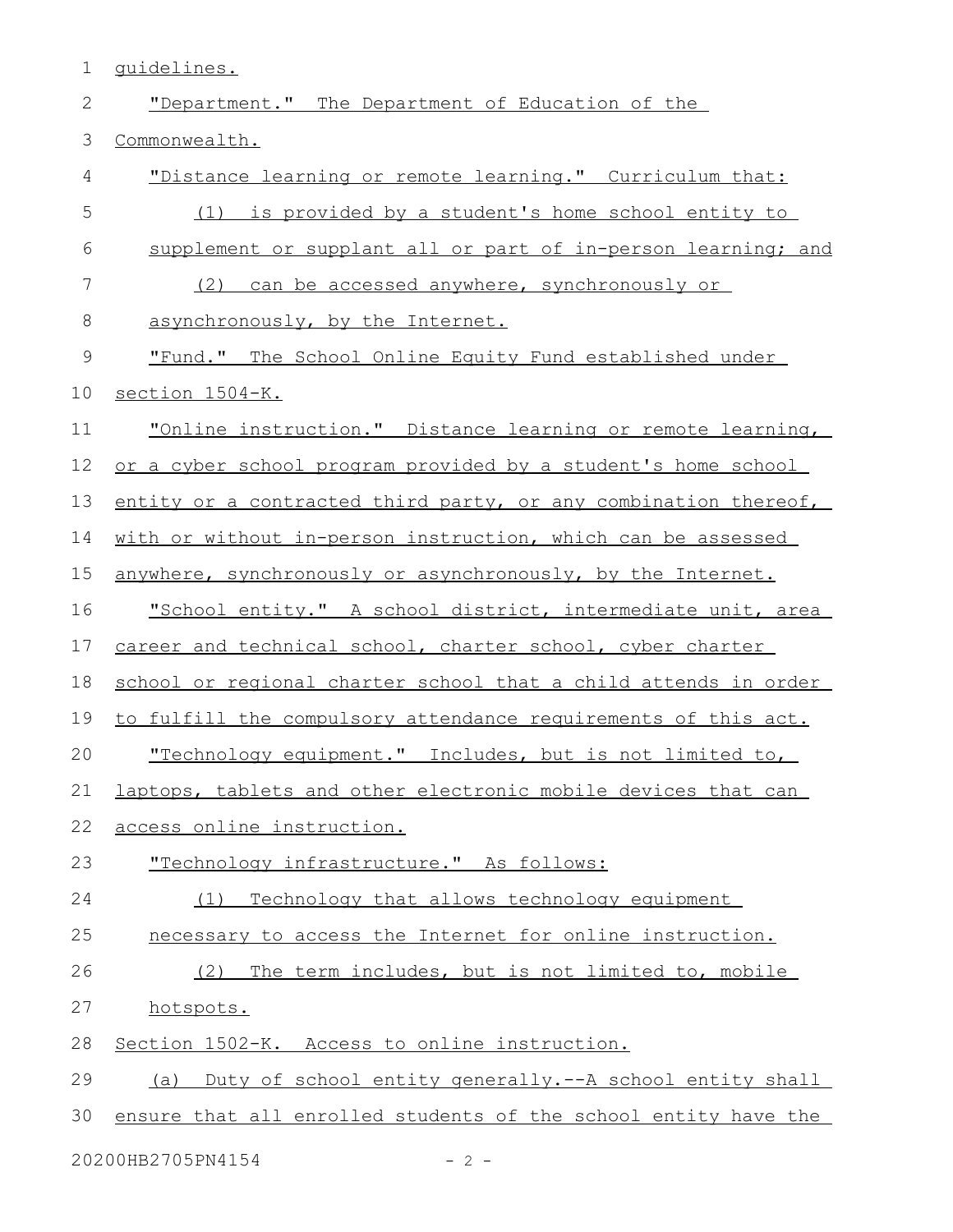1 guidelines.

| $\mathbf{2}$ | "Department." The Department of Education of the                |
|--------------|-----------------------------------------------------------------|
| 3            | Commonwealth.                                                   |
| 4            | "Distance learning or remote learning." Curriculum that:        |
| 5            | (1) is provided by a student's home school entity to            |
| 6            | supplement or supplant all or part of in-person learning; and   |
| 7            | can be accessed anywhere, synchronously or<br>(2)               |
| $\,8\,$      | asynchronously, by the Internet.                                |
| $\mathsf 9$  | "Fund." The School Online Equity Fund established under         |
| 10           | section 1504-K.                                                 |
| 11           | "Online instruction." Distance learning or remote learning,     |
| 12           | or a cyber school program provided by a student's home school   |
| 13           | entity or a contracted third party, or any combination thereof, |
| 14           | with or without in-person instruction, which can be assessed    |
| 15           | anywhere, synchronously or asynchronously, by the Internet.     |
| 16           | "School entity." A school district, intermediate unit, area     |
| 17           | career and technical school, charter school, cyber charter      |
| 18           | school or regional charter school that a child attends in order |
| 19           | to fulfill the compulsory attendance requirements of this act.  |
| 20           | "Technology equipment." Includes, but is not limited to,        |
| 21           | laptops, tablets and other electronic mobile devices that can   |
| 22           | access online instruction.                                      |
| 23           | "Technology infrastructure." As follows:                        |
| 24           | Technology that allows technology equipment<br>(1)              |
| 25           | necessary to access the Internet for online instruction.        |
| 26           | (2) The term includes, but is not limited to, mobile            |
| 27           | hotspots.                                                       |
| 28           | Section 1502-K. Access to online instruction.                   |
| 29           | (a) Duty of school entity generally.--A school entity shall     |
| 30           | ensure that all enrolled students of the school entity have the |
|              |                                                                 |

20200HB2705PN4154 - 2 -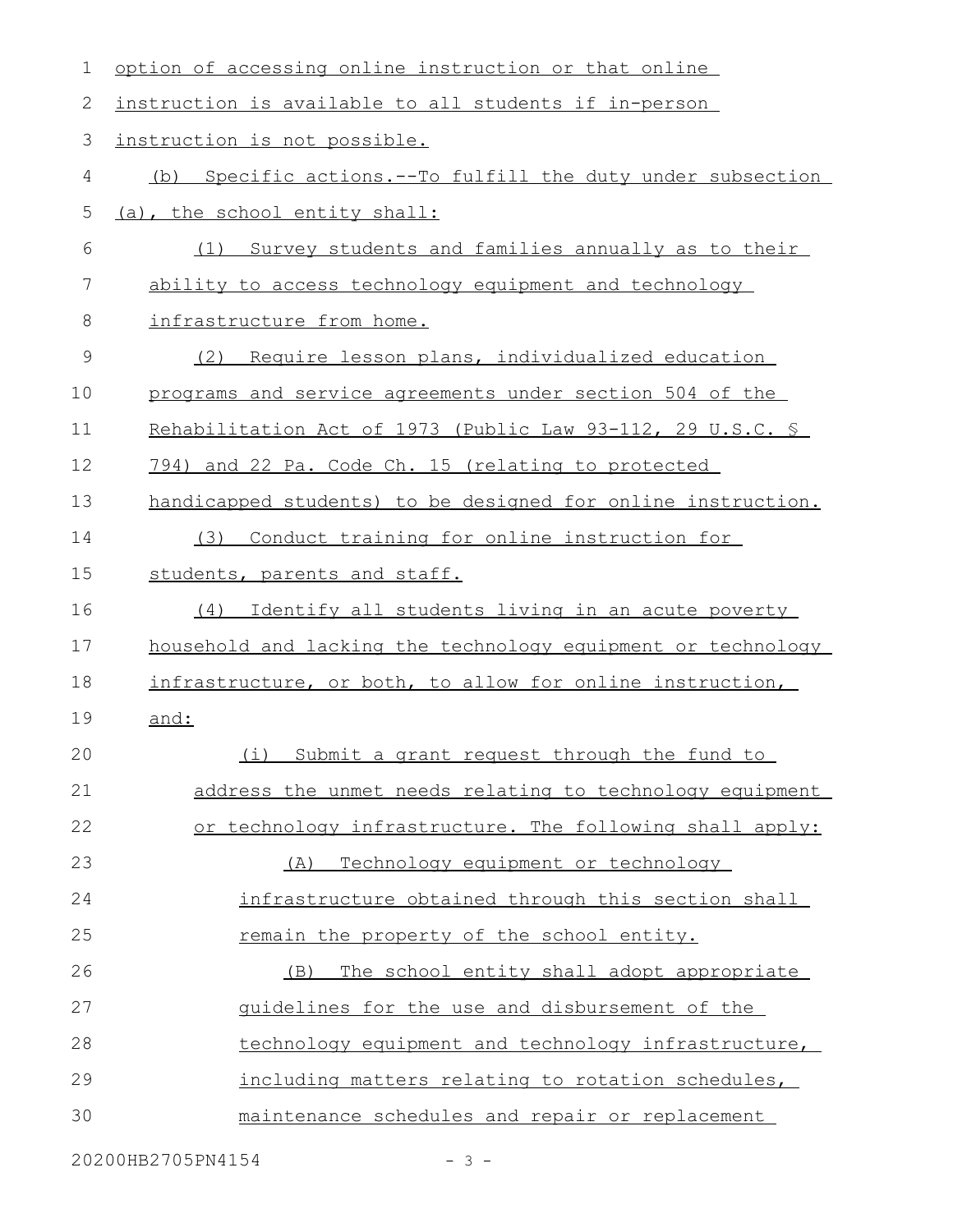| 1  | option of accessing online instruction or that online        |
|----|--------------------------------------------------------------|
| 2  | instruction is available to all students if in-person        |
| 3  | instruction is not possible.                                 |
| 4  | (b) Specific actions.--To fulfill the duty under subsection  |
| 5  | (a), the school entity shall:                                |
| 6  | Survey students and families annually as to their<br>(1)     |
| 7  | ability to access technology equipment and technology        |
| 8  | infrastructure from home.                                    |
| 9  | Require lesson plans, individualized education<br>(2)        |
| 10 | programs and service agreements under section 504 of the     |
| 11 | Rehabilitation Act of 1973 (Public Law 93-112, 29 U.S.C. \$  |
| 12 | 794) and 22 Pa. Code Ch. 15 (relating to protected           |
| 13 | handicapped students) to be designed for online instruction. |
| 14 | Conduct training for online instruction for<br>(3)           |
| 15 | students, parents and staff.                                 |
| 16 | Identify all students living in an acute poverty<br>(4)      |
| 17 | household and lacking the technology equipment or technology |
| 18 | infrastructure, or both, to allow for online instruction,    |
| 19 | and:                                                         |
| 20 | (i) Submit a grant request through the fund to               |
| 21 | address the unmet needs relating to technology equipment     |
| 22 | or technology infrastructure. The following shall apply:     |
| 23 | Technology equipment or technology<br>(A)                    |
| 24 | infrastructure obtained through this section shall           |
| 25 | remain the property of the school entity.                    |
| 26 | The school entity shall adopt appropriate<br>(B)             |
| 27 | guidelines for the use and disbursement of the               |
| 28 | technology equipment and technology infrastructure,          |
| 29 | including matters relating to rotation schedules,            |
| 30 | maintenance schedules and repair or replacement              |
|    |                                                              |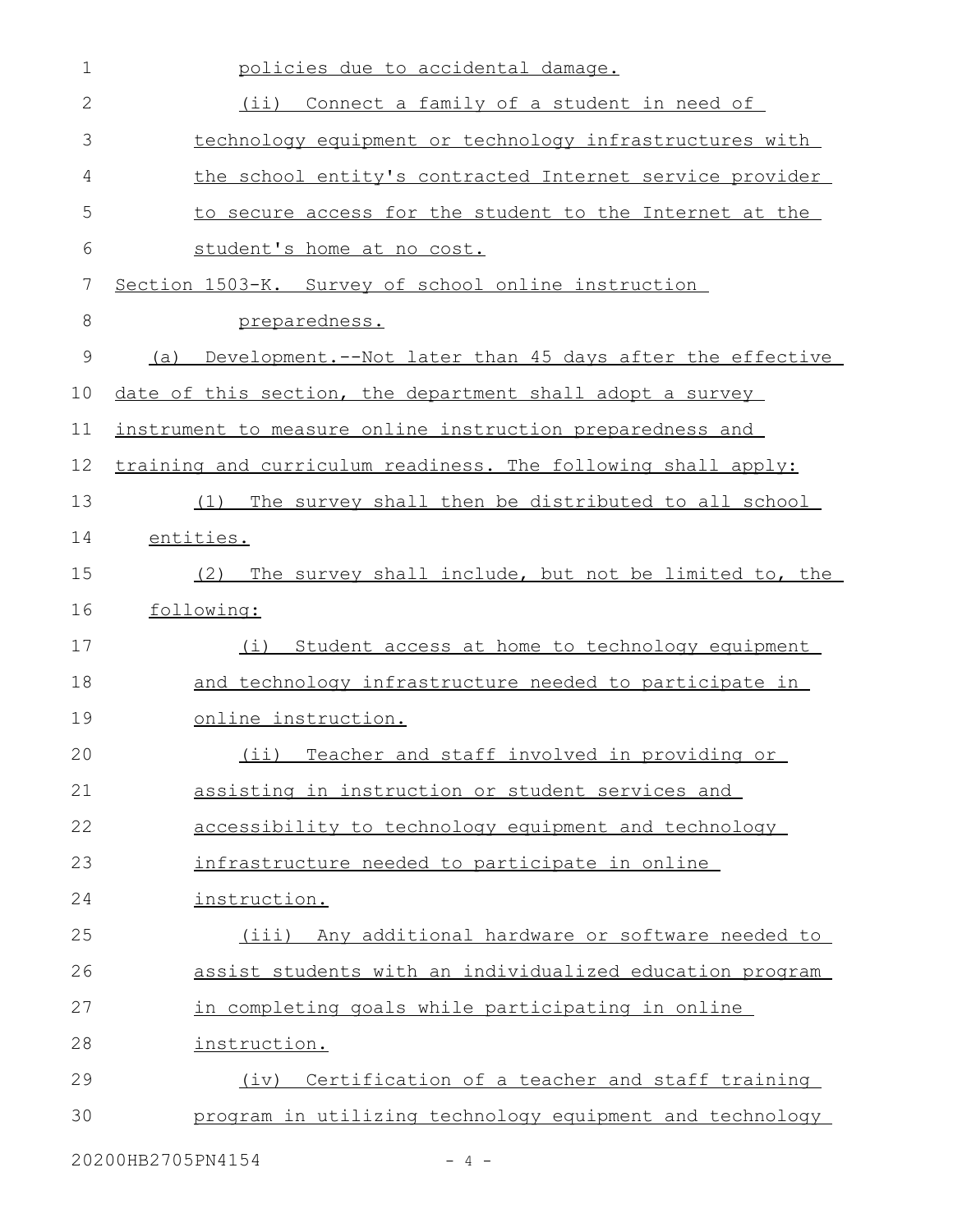| 1             | policies due to accidental damage.                              |
|---------------|-----------------------------------------------------------------|
| $\mathbf{2}$  | $(i$ ii)<br>Connect a family of a student in need of            |
| 3             | technology equipment or technology infrastructures with         |
| 4             | the school entity's contracted Internet service provider        |
| 5             | to secure access for the student to the Internet at the         |
| 6             | student's home at no cost.                                      |
| 7             | Section 1503-K. Survey of school online instruction             |
| 8             | preparedness.                                                   |
| $\mathcal{G}$ | Development.--Not later than 45 days after the effective<br>(a) |
| 10            | date of this section, the department shall adopt a survey       |
| 11            | instrument to measure online instruction preparedness and       |
| 12            | training and curriculum readiness. The following shall apply:   |
| 13            | The survey shall then be distributed to all school<br>(1)       |
| 14            | entities.                                                       |
| 15            | The survey shall include, but not be limited to, the<br>(2)     |
| 16            | following:                                                      |
| 17            | Student access at home to technology equipment<br>(i)           |
| 18            | and technology infrastructure needed to participate in          |
| 19            | online instruction.                                             |
| 20            | (ii) Teacher and staff involved in providing or                 |
| 21            | assisting in instruction or student services and                |
| 22            | accessibility to technology equipment and technology            |
| 23            | infrastructure needed to participate in online                  |
| 24            | instruction.                                                    |
| 25            | (iii) Any additional hardware or software needed to             |
| 26            | assist students with an individualized education program        |
| 27            | in completing goals while participating in online               |
| 28            | instruction.                                                    |
| 29            | Certification of a teacher and staff training<br>(iv)           |
| 30            | program in utilizing technology equipment and technology        |
|               |                                                                 |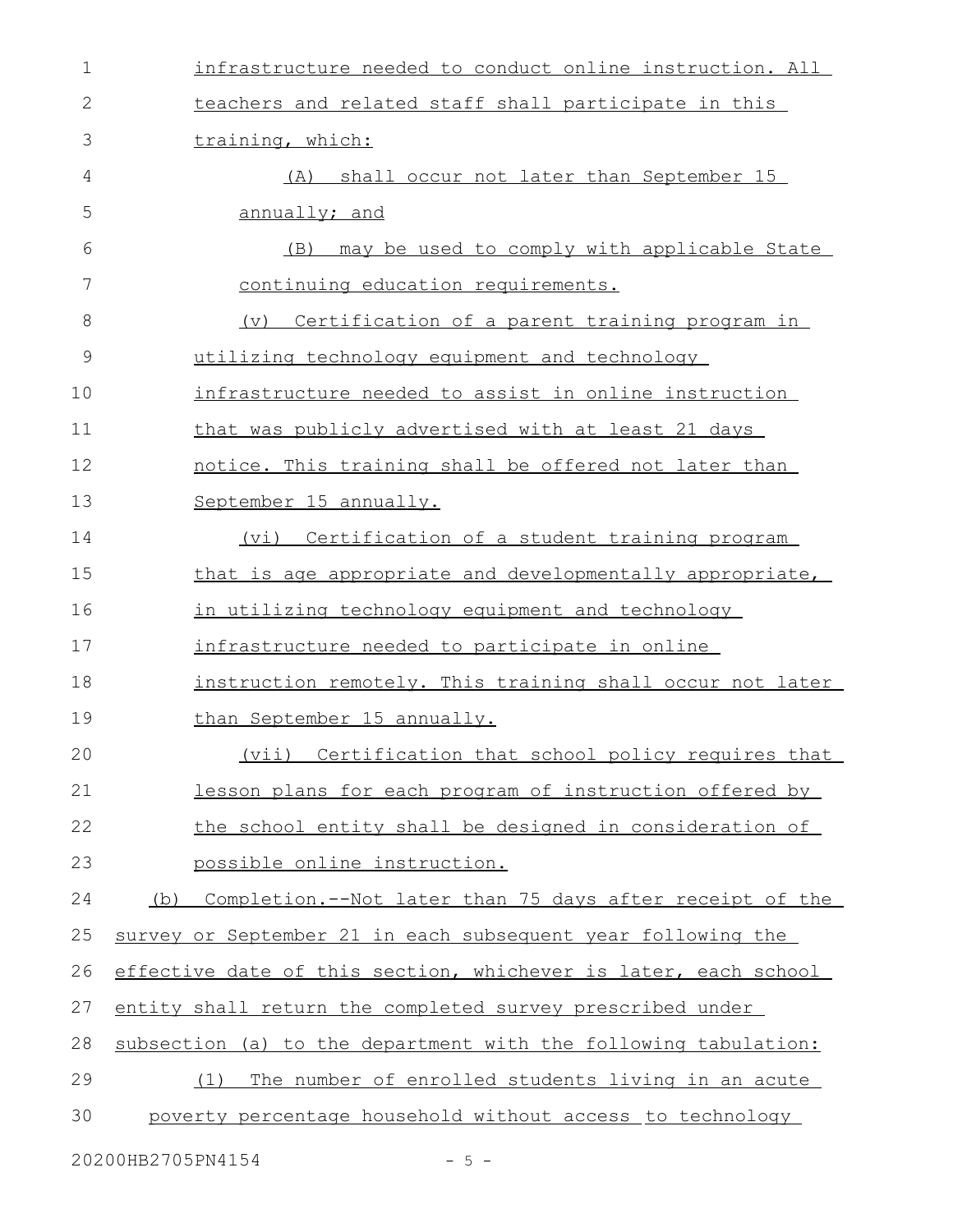| $\mathbf 1$   | infrastructure needed to conduct online instruction. All           |
|---------------|--------------------------------------------------------------------|
| 2             | teachers and related staff shall participate in this               |
| 3             | training, which:                                                   |
| 4             | shall occur not later than September 15<br>(A)                     |
| 5             | annually; and                                                      |
| 6             | may be used to comply with applicable State<br>(B)                 |
| 7             | continuing education requirements.                                 |
| 8             | Certification of a parent training program in<br>$(\triangledown)$ |
| $\mathcal{G}$ | utilizing technology equipment and technology                      |
| 10            | infrastructure needed to assist in online instruction              |
| 11            | that was publicly advertised with at least 21 days                 |
| 12            | notice. This training shall be offered not later than              |
| 13            | September 15 annually.                                             |
| 14            | Certification of a student training program<br>(vi)                |
| 15            | that is age appropriate and developmentally appropriate,           |
| 16            | in utilizing technology equipment and technology                   |
| 17            | infrastructure needed to participate in online                     |
| 18            | instruction remotely. This training shall occur not later          |
| 19            | than September 15 annually.                                        |
| 20            | (vii) Certification that school policy requires that               |
| 21            | lesson plans for each program of instruction offered by            |
| 22            | the school entity shall be designed in consideration of            |
| 23            | possible online instruction.                                       |
| 24            | Completion.--Not later than 75 days after receipt of the<br>(b)    |
| 25            | survey or September 21 in each subsequent year following the       |
| 26            | effective date of this section, whichever is later, each school    |
| 27            | entity shall return the completed survey prescribed under          |
| 28            | subsection (a) to the department with the following tabulation:    |
| 29            | The number of enrolled students living in an acute<br>(1)          |
| 30            | poverty percentage household without access to technology          |
|               | 20200HB2705PN4154<br>$-5 -$                                        |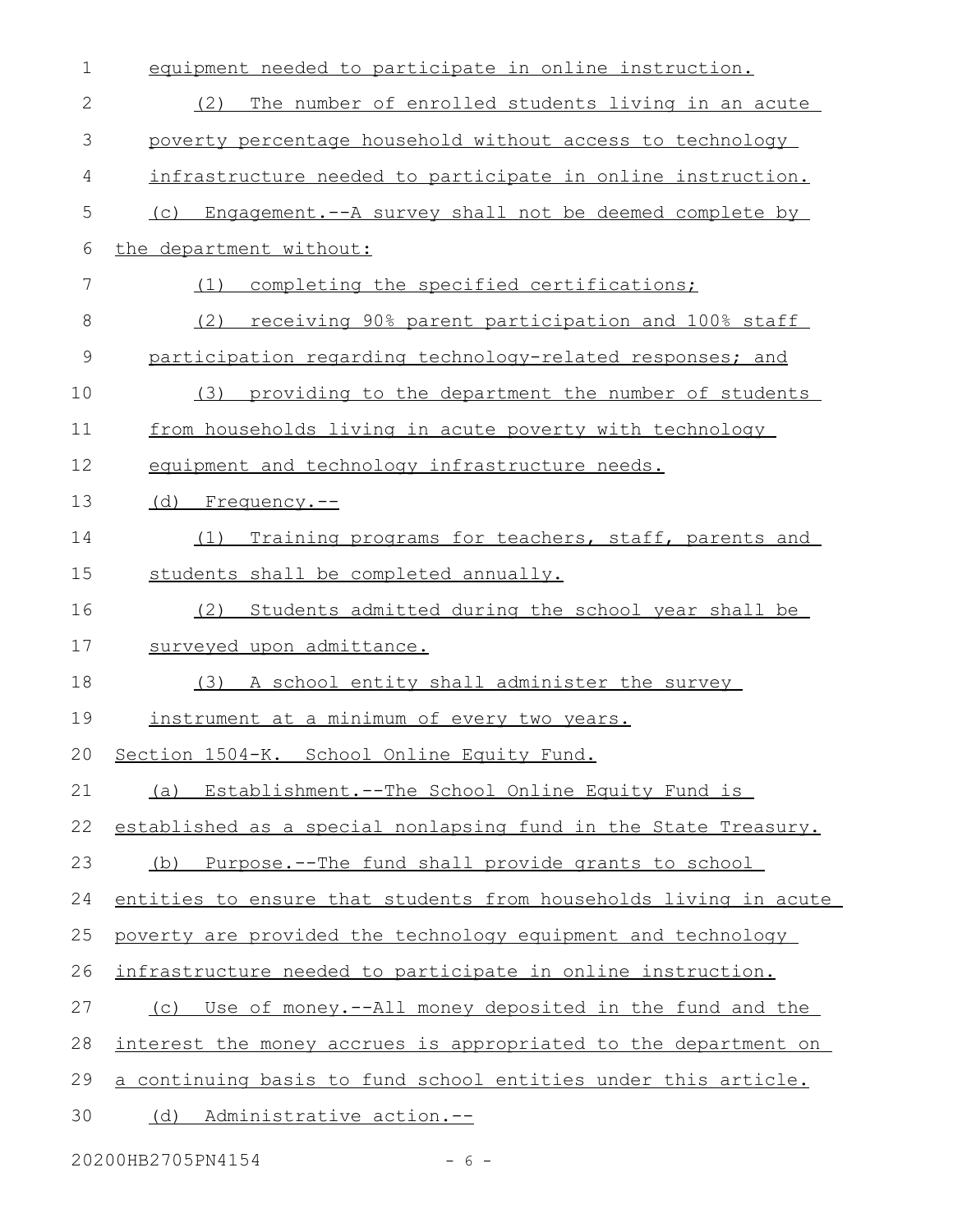| $\mathbf 1$ | equipment needed to participate in online instruction.           |
|-------------|------------------------------------------------------------------|
| 2           | The number of enrolled students living in an acute<br>(2)        |
| 3           | poverty percentage household without access to technology        |
| 4           | infrastructure needed to participate in online instruction.      |
| 5           | Engagement.--A survey shall not be deemed complete by<br>(C)     |
| 6           | the department without:                                          |
| 7           | completing the specified certifications;<br>(1)                  |
| $8\,$       | receiving 90% parent participation and 100% staff<br>(2)         |
| $\mathsf 9$ | participation regarding technology-related responses; and        |
| 10          | providing to the department the number of students<br>(3)        |
| 11          | from households living in acute poverty with technology          |
| 12          | equipment and technology infrastructure needs.                   |
| 13          | (d) Frequency.--                                                 |
| 14          | Training programs for teachers, staff, parents and<br>(1)        |
| 15          | students shall be completed annually.                            |
| 16          | Students admitted during the school year shall be<br>(2)         |
| 17          | surveyed upon admittance.                                        |
| 18          | (3) A school entity shall administer the survey                  |
| 19          | instrument at a minimum of every two years.                      |
| 20          | Section 1504-K. School Online Equity Fund.                       |
| 21          | Establishment. -- The School Online Equity Fund is<br>(a)        |
| 22          | established as a special nonlapsing fund in the State Treasury.  |
| 23          | Purpose.--The fund shall provide grants to school<br>(b)         |
| 24          | entities to ensure that students from households living in acute |
| 25          | poverty are provided the technology equipment and technology     |
| 26          | infrastructure needed to participate in online instruction.      |
| 27          | Use of money.--All money deposited in the fund and the<br>(C)    |
| 28          | interest the money accrues is appropriated to the department on  |
| 29          | a continuing basis to fund school entities under this article.   |
| 30          | (d) Administrative action.--                                     |
|             |                                                                  |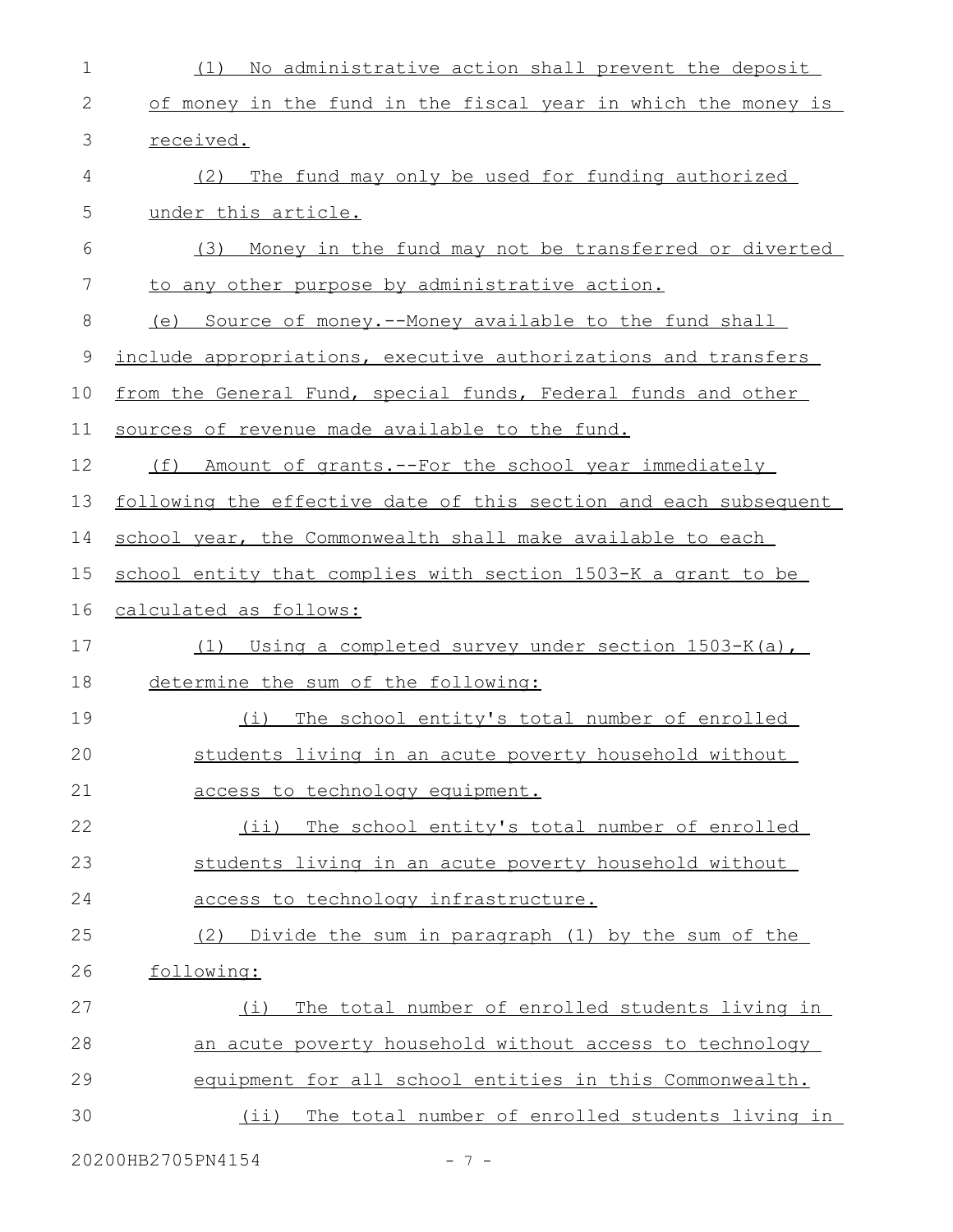| $\mathbf 1$  | No administrative action shall prevent the deposit<br>(1)        |
|--------------|------------------------------------------------------------------|
| $\mathbf{2}$ | of money in the fund in the fiscal year in which the money is    |
| 3            | received.                                                        |
| 4            | (2)<br>The fund may only be used for funding authorized          |
| 5            | under this article.                                              |
| 6            | Money in the fund may not be transferred or diverted<br>(3)      |
| 7            | to any other purpose by administrative action.                   |
| 8            | (e) Source of money.--Money available to the fund shall          |
| 9            | include appropriations, executive authorizations and transfers   |
| 10           | from the General Fund, special funds, Federal funds and other    |
| 11           | sources of revenue made available to the fund.                   |
| 12           | Amount of grants. -- For the school year immediately<br>(f)      |
| 13           | following the effective date of this section and each subsequent |
| 14           | school year, the Commonwealth shall make available to each       |
| 15           | school entity that complies with section 1503-K a grant to be    |
| 16           | calculated as follows:                                           |
| 17           | Using a completed survey under section 1503-K(a),<br>(1)         |
| 18           | determine the sum of the following:                              |
| 19           | The school entity's total number of enrolled<br>(i)              |
| 20           | students living in an acute poverty household without            |
| 21           | access to technology equipment.                                  |
| 22           | (ii) The school entity's total number of enrolled                |
| 23           | students living in an acute poverty household without            |
| 24           | access to technology infrastructure.                             |
| 25           | Divide the sum in paragraph (1) by the sum of the<br>(2)         |
| 26           | following:                                                       |
| 27           | The total number of enrolled students living in<br>(i)           |
| 28           | an acute poverty household without access to technology          |
| 29           | equipment for all school entities in this Commonwealth.          |
| 30           | (ii) The total number of enrolled students living in             |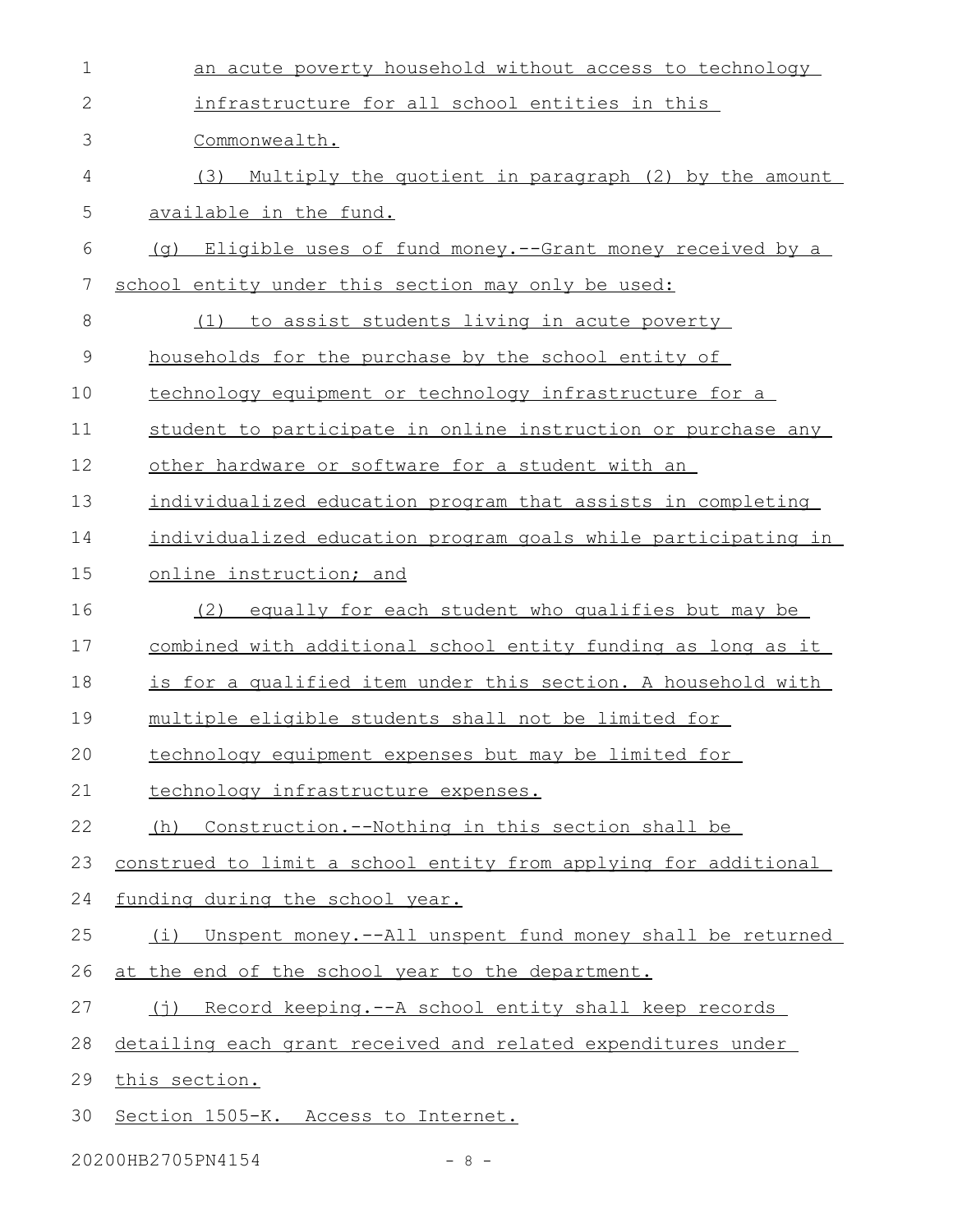| $\mathbf 1$ | an acute poverty household without access to technology         |
|-------------|-----------------------------------------------------------------|
| 2           | infrastructure for all school entities in this                  |
| 3           | Commonwealth.                                                   |
| 4           | (3)<br>Multiply the quotient in paragraph (2) by the amount     |
| 5           | available in the fund.                                          |
| 6           | (g) Eligible uses of fund money.--Grant money received by a     |
| 7           | school entity under this section may only be used:              |
| 8           | to assist students living in acute poverty<br>(1)               |
| 9           | households for the purchase by the school entity of             |
| 10          | technology equipment or technology infrastructure for a         |
| 11          | student to participate in online instruction or purchase any    |
| 12          | other hardware or software for a student with an                |
| 13          | individualized education program that assists in completing     |
| 14          | individualized education program goals while participating in   |
| 15          | online instruction; and                                         |
| 16          | equally for each student who qualifies but may be<br>(2)        |
| 17          | combined with additional school entity funding as long as it    |
| 18          | is for a qualified item under this section. A household with    |
| 19          | multiple eligible students shall not be limited for             |
| 20          | technology equipment expenses but may be limited for            |
| 21          | technology infrastructure expenses.                             |
| 22          | (h) Construction.--Nothing in this section shall be             |
| 23          | construed to limit a school entity from applying for additional |
| 24          | funding during the school year.                                 |
| 25          | Unspent money.--All unspent fund money shall be returned<br>(i) |
| 26          | at the end of the school year to the department.                |
| 27          | (j) Record keeping.--A school entity shall keep records         |
| 28          | detailing each grant received and related expenditures under    |
| 29          | this section.                                                   |
| 30          | Section 1505-K. Access to Internet.                             |

20200HB2705PN4154 - 8 -